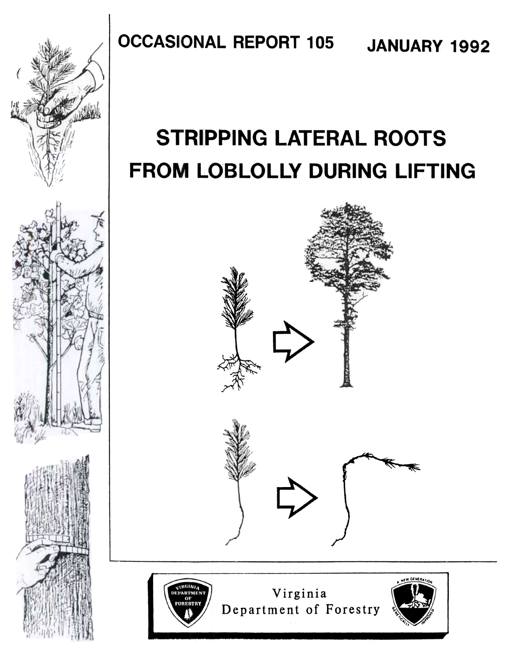

#### **OCCASIONAL REPORT 105** JANUARY 1992

# **STRIPPING LATERAL ROOTS** FROM LOBLOLLY DURING LIFTING



Virginia Department of Forestry

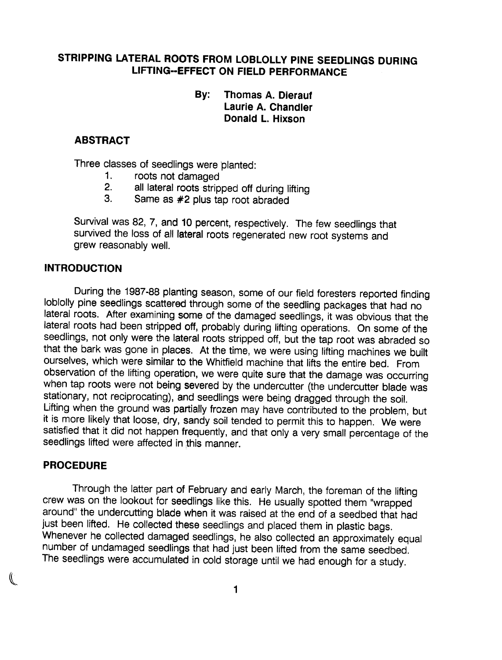## STRIPPING LATERAL ROOTS FROM LOBLOLLY PINE SEEDLINGS DURING LlFTING--EFFECT ON FIELD PERFORMANCE

#### By: Thomas A. Dierauf Laurie A. Chandler Donald L. Hixson

## ABSTRACT

Three classes of seedlings were 'planted:

- 1. roots not damaged
- 2. all lateral roots stripped off during lifting
- 3. Same as #2 plus tap root abraded

Survival was 82, 7, and 10 percent, respectively. The few seedlings that survived the loss of all lateral roots regenerated new root systems and grew reasonably well.

#### INTRODUCTION

During the 1987-88 planting season, some of our field foresters reported finding lobiolly pine seedlings scattered through some of the seedling packages that had no lateral roots. After examining some of the damaged seedlings, it was obvious that the lateral roots had been stripped off, probably during lifting operations. On some of the seedlings, not only were the lateral roots stripped off, but the tap root was abraded so that the bark was gone in places. At the time, we were using lifting machines we built ourselves, which were similar to the Whitfield machine that lifts the entire bed. From observation of the lifting operation, we were quite sure that the damage was occurring when tap roots were not being severed by the undercutter (the undercutter blade was stationary, not reciprocating), and seedlings were being dragged through the soil. Lifting when the ground was partially frozen may have contributed to the problem, but it is more likely that loose, dry, sandy soil tended to permit this to happen. We were satisfied that it did not happen frequently, and that only a very small percentage of the seedlings lifted were affected in this manner.

#### PROCEDURE

 $\mathcal{P}$ 

Through the latter part of February and early March, the foreman of the lifting crew was on the lookout for seedlings like this. He usually spotted them "wrapped around" the undercutting blade when it was raised at the end of a seedbed that had just been lifted. He collected these seedlings and placed them in plastic bags. Whenever he collected damaged seedlings, he also collected an approximately equal number of undamaged seedlings that had just been lifted from the same seedbed. The seedlings were accumulated in cold storage until we had enough for a study.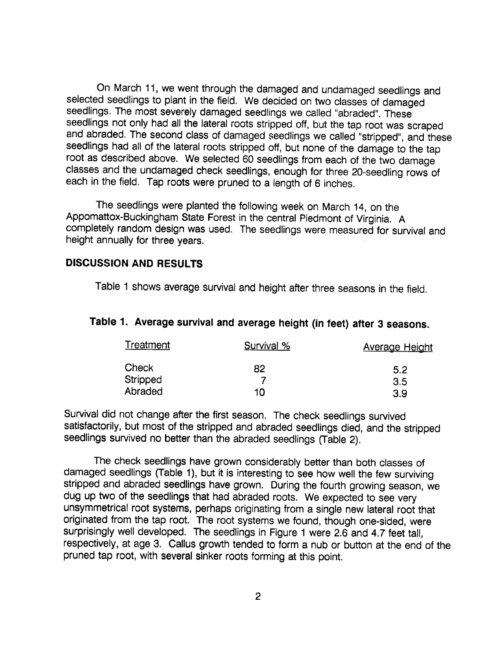On March 11, we went through the damaged and undamaged seedlings and selected seedlings to plant in the field. We decided on two classes of damaged seedlings. The most severely damaged seedlings we called "abraded". These seedlings not only had all the lateral roots stripped off, but the tap root was scraped and abraded. The second class of damaged seedlings we called "stripped", and these seedlings had all of the lateral roots stripped off, but none of the damage to the tap root as described above. We selected 60 seedlings from each of the two damage classes and the undamaged check seedlings, enough for three 20-seedling rows of each in the field. Tap roots were pruned to a length of 6 inches.

The seedlings were planted the following week on March 14, on the Appomattox-Buckingham State Forest in the central Piedmont of Virginia. A completely random design was used. The seedlings were measured for survival and height annually for three years.

#### DISCUSSION AND RESULTS

Table 1 shows average survival and height after three seasons in the field.

| Table 1. Average survival and average height (in feet) after 3 seasons. |  |  |  |  |  |  |  |  |  |  |
|-------------------------------------------------------------------------|--|--|--|--|--|--|--|--|--|--|
|-------------------------------------------------------------------------|--|--|--|--|--|--|--|--|--|--|

| Treatment | Survival % | <b>Average Height</b> |
|-----------|------------|-----------------------|
| Check     | 82         | 5.2                   |
| Stripped  |            | 3.5                   |
| Abraded   | 10         | 3.9                   |

Survival did not change after the first season. The check seedlings survived satisfactorily, but most of the stripped and abraded seedlings died, and the stripped seedlings survived no better than the abraded seedlings (Table 2).

The check seedlings have grown considerably better than both classes of damaged seedlings (Table 1), but it is interesting to see how well the few surviving stripped and abraded seedlings have grown. During the fourth growing season, we dug up two of the seedlings that had abraded roots. We expected to see very unsymmetrical root systems, perhaps originating from a single new lateral root that originated from the tap root. The root systems we found, though one-sided, were surprisingly well developed. The seedlings in Figure 1 were 2.6 and 4.7 feet tall, respectively, at age 3. Callus growth tended to form a nub or button at the end of the pruned tap root, with several sinker roots forming at this point.